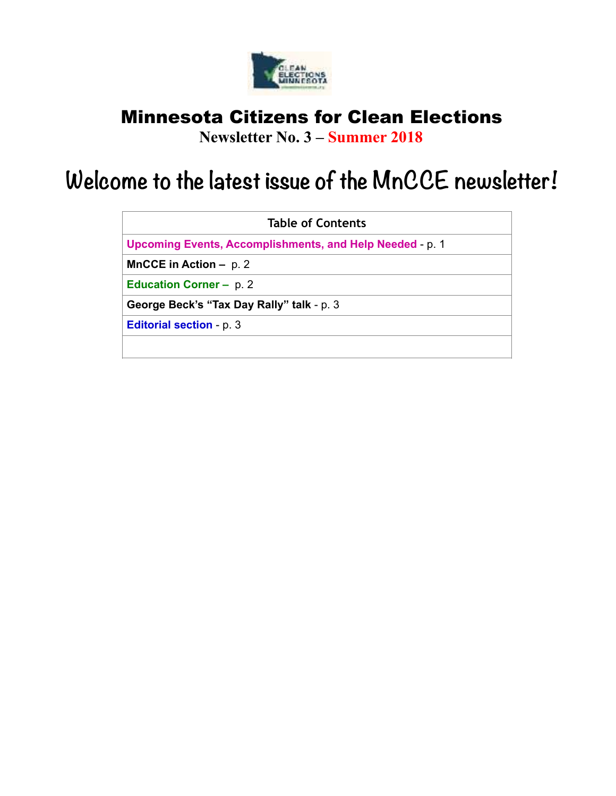

## Minnesota Citizens for Clean Elections

**Newsletter No. 3 – Summer 2018**

# **Welcome to the latest issue of the MnCCE newsletter!**

| <b>Table of Contents</b>                                        |
|-----------------------------------------------------------------|
| <b>Upcoming Events, Accomplishments, and Help Needed - p. 1</b> |
| <b>MnCCE in Action – p. 2</b>                                   |
| <b>Education Corner – p. 2</b>                                  |
| George Beck's "Tax Day Rally" talk - p. 3                       |
| <b>Editorial section - p. 3</b>                                 |
|                                                                 |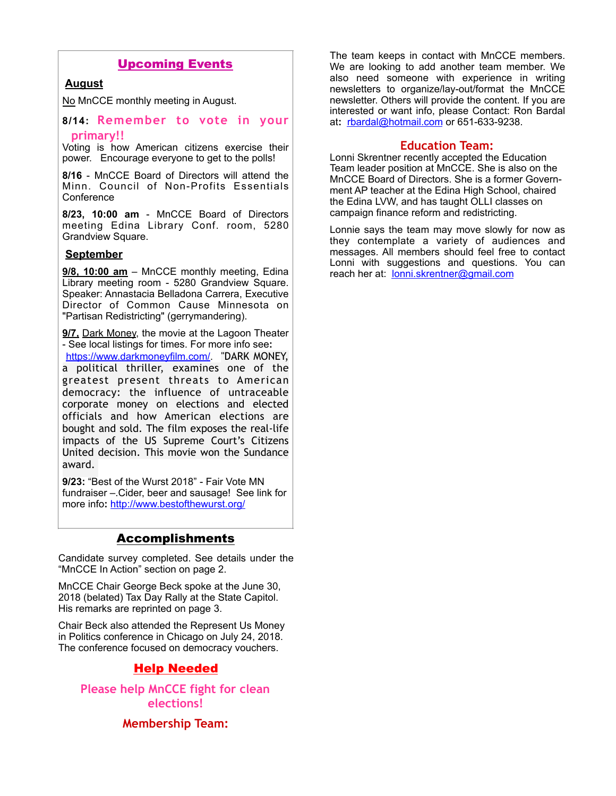## Upcoming Events

## **August**

No MnCCE monthly meeting in August.

**8/14: Remember to vote in your primary!!**

Voting is how American citizens exercise their power. Encourage everyone to get to the polls!

**8/16** - MnCCE Board of Directors will attend the Minn. Council of Non-Profits Essentials **Conference** 

**8/23, 10:00 am** - MnCCE Board of Directors meeting Edina Library Conf. room, 5280 Grandview Square.

### **September**

**9/8, 10:00 am** – MnCCE monthly meeting, Edina Library meeting room - 5280 Grandview Square. Speaker: Annastacia Belladona Carrera, Executive Director of Common Cause Minnesota on "Partisan Redistricting" (gerrymandering).

**9/7,** Dark Money, the movie at the Lagoon Theater - See local listings for times. For more info see**:**  https://www.darkmoneyfilm.com/. "DARK MONEY, a political thriller, examines one of the greatest present threats to American democracy: the influence of untraceable corporate money on elections and elected officials and how American elections are bought and sold. The film exposes the real-life impacts of the US Supreme Court's Citizens United decision. This movie won the Sundance award.

**9/23:** "Best of the Wurst 2018" - Fair Vote MN fundraiser –.Cider, beer and sausage! See link for more info**:** http://www.bestofthewurst.org/

## Accomplishments

Candidate survey completed. See details under the "MnCCE In Action" section on page 2.

MnCCE Chair George Beck spoke at the June 30, 2018 (belated) Tax Day Rally at the State Capitol. His remarks are reprinted on page 3.

Chair Beck also attended the Represent Us Money in Politics conference in Chicago on July 24, 2018. The conference focused on democracy vouchers.

## Help Needed

**Please help MnCCE fight for clean elections!** 

## **Membership Team:**

The team keeps in contact with MnCCE members. We are looking to add another team member. We also need someone with experience in writing newsletters to organize/lay-out/format the MnCCE newsletter. Others will provide the content. If you are interested or want info, please Contact: Ron Bardal at**:** rbardal@hotmail.com or 651-633-9238.

#### **Education Team:**

Lonni Skrentner recently accepted the Education Team leader position at MnCCE. She is also on the MnCCE Board of Directors. She is a former Government AP teacher at the Edina High School, chaired the Edina LVW, and has taught OLLI classes on campaign finance reform and redistricting.

Lonnie says the team may move slowly for now as they contemplate a variety of audiences and messages. All members should feel free to contact Lonni with suggestions and questions. You can reach her at: lonni.skrentner@gmail.com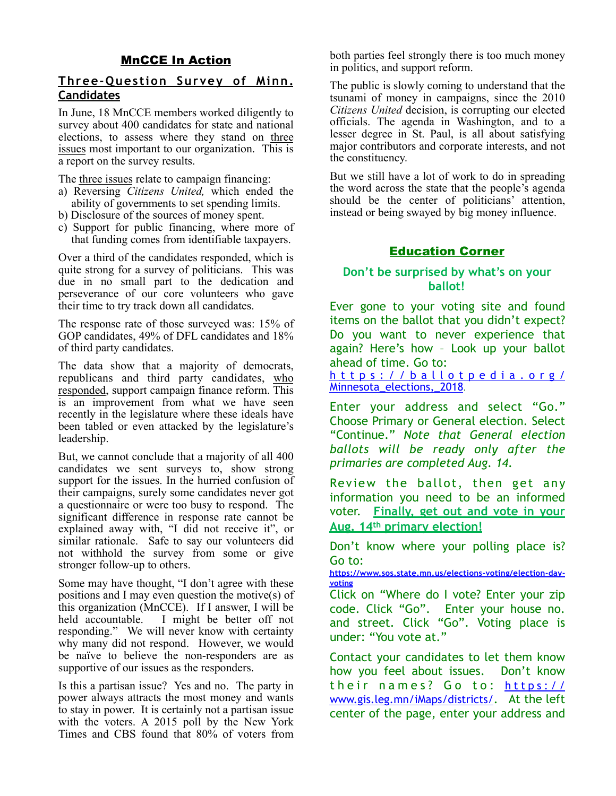## MnCCE In Action

## **Three-Question Survey of Minn. Candidates**

In June, 18 MnCCE members worked diligently to survey about 400 candidates for state and national elections, to assess where they stand on three issues most important to our organization. This is a report on the survey results.

The three issues relate to campaign financing:

- a) Reversing *Citizens United,* which ended the ability of governments to set spending limits.
- b) Disclosure of the sources of money spent.
- c) Support for public financing, where more of that funding comes from identifiable taxpayers.

Over a third of the candidates responded, which is quite strong for a survey of politicians. This was due in no small part to the dedication and perseverance of our core volunteers who gave their time to try track down all candidates.

The response rate of those surveyed was: 15% of GOP candidates, 49% of DFL candidates and 18% of third party candidates.

The data show that a majority of democrats, republicans and third party candidates, who responded, support campaign finance reform. This is an improvement from what we have seen recently in the legislature where these ideals have been tabled or even attacked by the legislature's leadership.

But, we cannot conclude that a majority of all 400 candidates we sent surveys to, show strong support for the issues. In the hurried confusion of their campaigns, surely some candidates never got a questionnaire or were too busy to respond. The significant difference in response rate cannot be explained away with, "I did not receive it", or similar rationale. Safe to say our volunteers did not withhold the survey from some or give stronger follow-up to others.

Some may have thought, "I don't agree with these positions and I may even question the motive(s) of this organization (MnCCE). If I answer, I will be held accountable. I might be better off not I might be better off not responding." We will never know with certainty why many did not respond. However, we would be naïve to believe the non-responders are as supportive of our issues as the responders.

Is this a partisan issue? Yes and no. The party in power always attracts the most money and wants to stay in power. It is certainly not a partisan issue with the voters. A 2015 poll by the New York Times and CBS found that 80% of voters from both parties feel strongly there is too much money in politics, and support reform.

The public is slowly coming to understand that the tsunami of money in campaigns, since the 2010 *Citizens United* decision, is corrupting our elected officials. The agenda in Washington, and to a lesser degree in St. Paul, is all about satisfying major contributors and corporate interests, and not the constituency.

But we still have a lot of work to do in spreading the word across the state that the people's agenda should be the center of politicians' attention, instead or being swayed by big money influence.

## Education Corner

## **Don't be surprised by what's on your ballot!**

Ever gone to your voting site and found items on the ballot that you didn't expect? Do you want to never experience that again? Here's how – Look up your ballot ahead of time. Go to:

https://ballotpedia.org/ Minnesota\_elections,\_2018.

Enter your address and select "Go." Choose Primary or General election. Select "Continue." *Note that General election ballots will be ready only after the primaries are completed Aug. 14.* 

Review the ballot, then get any information you need to be an informed voter. **Finally, get out and vote in your Aug. 14th primary election!**

Don't know where your polling place is? Go to:

**https://www.sos.state.mn.us/elections-voting/election-dayvoting**

Click on "Where do I vote? Enter your zip code. Click "Go". Enter your house no. and street. Click "Go". Voting place is under: "You vote at."

Contact your candidates to let them know how you feel about issues. Don't know their names? Go to: https:// www.gis.leg.mn/iMaps/districts/. At the left center of the page, enter your address and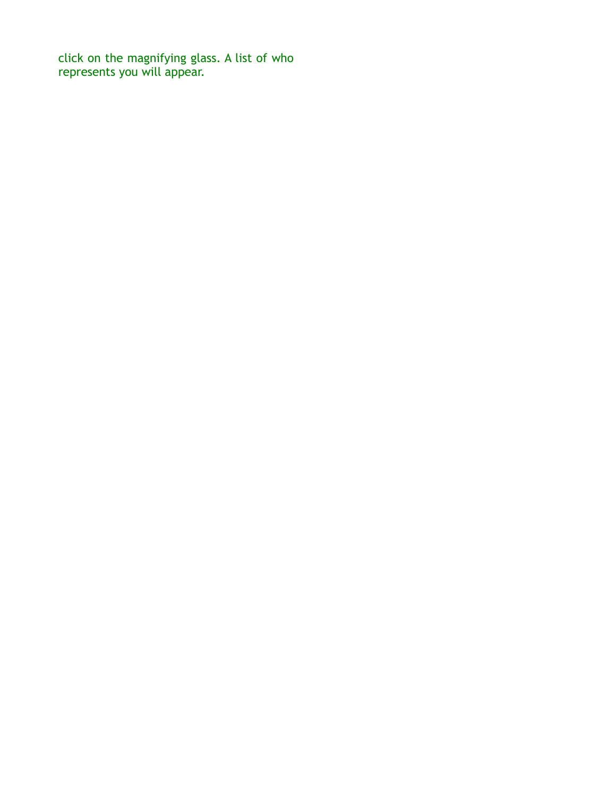click on the magnifying glass. A list of who represents you will appear.